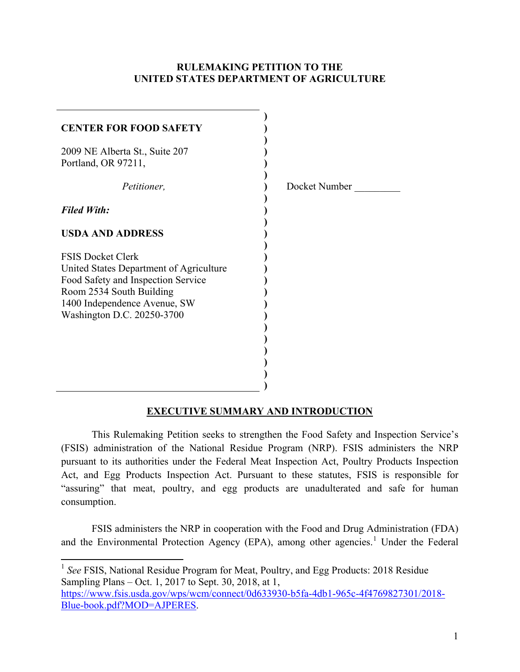#### **RULEMAKING PETITION TO THE UNITED STATES DEPARTMENT OF AGRICULTURE**

| <b>CENTER FOR FOOD SAFETY</b>                                                                                                                                                                       |               |
|-----------------------------------------------------------------------------------------------------------------------------------------------------------------------------------------------------|---------------|
| 2009 NE Alberta St., Suite 207<br>Portland, OR 97211,                                                                                                                                               |               |
| Petitioner,                                                                                                                                                                                         | Docket Number |
| <b>Filed With:</b>                                                                                                                                                                                  |               |
| <b>USDA AND ADDRESS</b>                                                                                                                                                                             |               |
| <b>FSIS Docket Clerk</b><br>United States Department of Agriculture<br>Food Safety and Inspection Service<br>Room 2534 South Building<br>1400 Independence Avenue, SW<br>Washington D.C. 20250-3700 |               |

## **EXECUTIVE SUMMARY AND INTRODUCTION**

This Rulemaking Petition seeks to strengthen the Food Safety and Inspection Service's (FSIS) administration of the National Residue Program (NRP). FSIS administers the NRP pursuant to its authorities under the Federal Meat Inspection Act, Poultry Products Inspection Act, and Egg Products Inspection Act. Pursuant to these statutes, FSIS is responsible for "assuring" that meat, poultry, and egg products are unadulterated and safe for human consumption.

FSIS administers the NRP in cooperation with the Food and Drug Administration (FDA) and the Environmental Protection Agency (EPA), among other agencies.<sup>1</sup> Under the Federal

<sup>&</sup>lt;sup>1</sup> See FSIS, National Residue Program for Meat, Poultry, and Egg Products: 2018 Residue Sampling Plans – Oct. 1, 2017 to Sept. 30, 2018, at 1,

https://www.fsis.usda.gov/wps/wcm/connect/0d633930-b5fa-4db1-965c-4f4769827301/2018- Blue-book.pdf?MOD=AJPERES.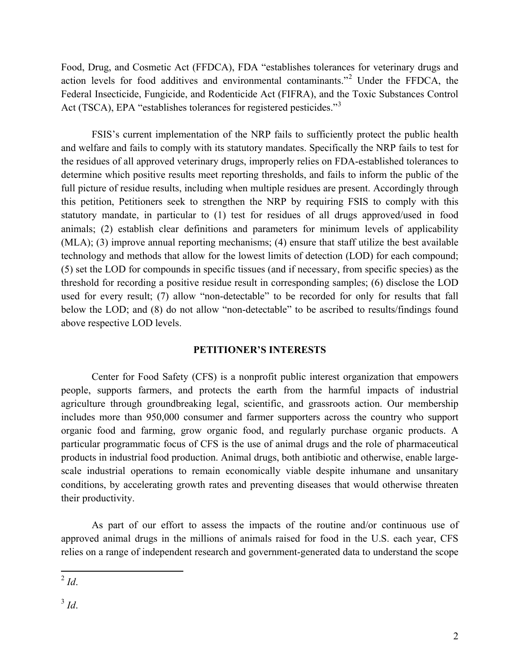Food, Drug, and Cosmetic Act (FFDCA), FDA "establishes tolerances for veterinary drugs and action levels for food additives and environmental contaminants."<sup>2</sup> Under the FFDCA, the Federal Insecticide, Fungicide, and Rodenticide Act (FIFRA), and the Toxic Substances Control Act (TSCA), EPA "establishes tolerances for registered pesticides."<sup>3</sup>

FSIS's current implementation of the NRP fails to sufficiently protect the public health and welfare and fails to comply with its statutory mandates. Specifically the NRP fails to test for the residues of all approved veterinary drugs, improperly relies on FDA-established tolerances to determine which positive results meet reporting thresholds, and fails to inform the public of the full picture of residue results, including when multiple residues are present. Accordingly through this petition, Petitioners seek to strengthen the NRP by requiring FSIS to comply with this statutory mandate, in particular to (1) test for residues of all drugs approved/used in food animals; (2) establish clear definitions and parameters for minimum levels of applicability (MLA); (3) improve annual reporting mechanisms; (4) ensure that staff utilize the best available technology and methods that allow for the lowest limits of detection (LOD) for each compound; (5) set the LOD for compounds in specific tissues (and if necessary, from specific species) as the threshold for recording a positive residue result in corresponding samples; (6) disclose the LOD used for every result; (7) allow "non-detectable" to be recorded for only for results that fall below the LOD; and (8) do not allow "non-detectable" to be ascribed to results/findings found above respective LOD levels.

#### **PETITIONER'S INTERESTS**

Center for Food Safety (CFS) is a nonprofit public interest organization that empowers people, supports farmers, and protects the earth from the harmful impacts of industrial agriculture through groundbreaking legal, scientific, and grassroots action. Our membership includes more than 950,000 consumer and farmer supporters across the country who support organic food and farming, grow organic food, and regularly purchase organic products. A particular programmatic focus of CFS is the use of animal drugs and the role of pharmaceutical products in industrial food production. Animal drugs, both antibiotic and otherwise, enable largescale industrial operations to remain economically viable despite inhumane and unsanitary conditions, by accelerating growth rates and preventing diseases that would otherwise threaten their productivity.

As part of our effort to assess the impacts of the routine and/or continuous use of approved animal drugs in the millions of animals raised for food in the U.S. each year, CFS relies on a range of independent research and government-generated data to understand the scope

<sup>3</sup> *Id*.

 $^{2}$  *Id.*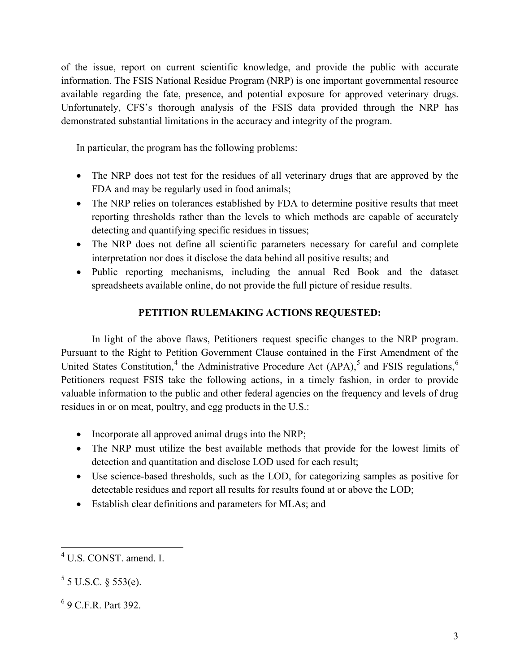of the issue, report on current scientific knowledge, and provide the public with accurate information. The FSIS National Residue Program (NRP) is one important governmental resource available regarding the fate, presence, and potential exposure for approved veterinary drugs. Unfortunately, CFS's thorough analysis of the FSIS data provided through the NRP has demonstrated substantial limitations in the accuracy and integrity of the program.

In particular, the program has the following problems:

- The NRP does not test for the residues of all veterinary drugs that are approved by the FDA and may be regularly used in food animals;
- The NRP relies on tolerances established by FDA to determine positive results that meet reporting thresholds rather than the levels to which methods are capable of accurately detecting and quantifying specific residues in tissues;
- The NRP does not define all scientific parameters necessary for careful and complete interpretation nor does it disclose the data behind all positive results; and
- Public reporting mechanisms, including the annual Red Book and the dataset spreadsheets available online, do not provide the full picture of residue results.

# **PETITION RULEMAKING ACTIONS REQUESTED:**

In light of the above flaws, Petitioners request specific changes to the NRP program. Pursuant to the Right to Petition Government Clause contained in the First Amendment of the United States Constitution,<sup>4</sup> the Administrative Procedure Act  $(APA)$ ,<sup>5</sup> and FSIS regulations,<sup>6</sup> Petitioners request FSIS take the following actions, in a timely fashion, in order to provide valuable information to the public and other federal agencies on the frequency and levels of drug residues in or on meat, poultry, and egg products in the U.S.:

- Incorporate all approved animal drugs into the NRP;
- The NRP must utilize the best available methods that provide for the lowest limits of detection and quantitation and disclose LOD used for each result;
- Use science-based thresholds, such as the LOD, for categorizing samples as positive for detectable residues and report all results for results found at or above the LOD;
- Establish clear definitions and parameters for MLAs; and

<sup>4</sup> U.S. CONST. amend. I.

 $5$  5 U.S.C. § 553(e).

<sup>6</sup> 9 C.F.R. Part 392.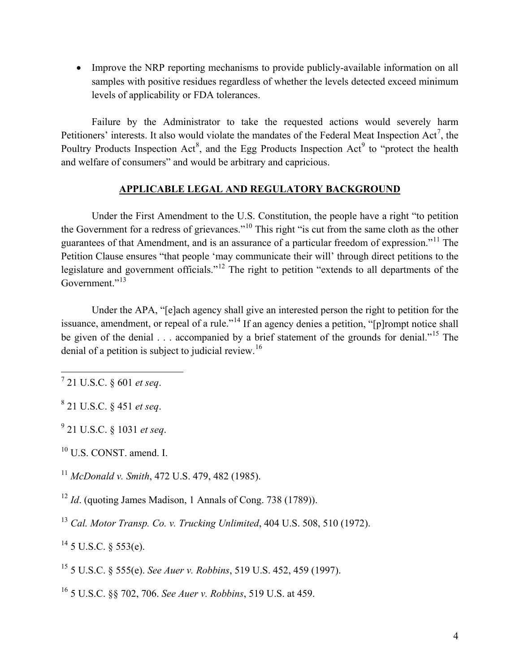• Improve the NRP reporting mechanisms to provide publicly-available information on all samples with positive residues regardless of whether the levels detected exceed minimum levels of applicability or FDA tolerances.

Failure by the Administrator to take the requested actions would severely harm Petitioners' interests. It also would violate the mandates of the Federal Meat Inspection  $Act^7$ , the Poultry Products Inspection Act<sup>8</sup>, and the Egg Products Inspection Act<sup>9</sup> to "protect the health and welfare of consumers" and would be arbitrary and capricious.

## **APPLICABLE LEGAL AND REGULATORY BACKGROUND**

Under the First Amendment to the U.S. Constitution, the people have a right "to petition the Government for a redress of grievances."<sup>10</sup> This right "is cut from the same cloth as the other guarantees of that Amendment, and is an assurance of a particular freedom of expression."<sup>11</sup> The Petition Clause ensures "that people 'may communicate their will' through direct petitions to the legislature and government officials."<sup>12</sup> The right to petition "extends to all departments of the Government<sup>"13</sup>

Under the APA, "[e]ach agency shall give an interested person the right to petition for the issuance, amendment, or repeal of a rule."<sup>14</sup> If an agency denies a petition, "[p]rompt notice shall be given of the denial . . . accompanied by a brief statement of the grounds for denial."<sup>15</sup> The denial of a petition is subject to judicial review.<sup>16</sup>

<sup>9</sup> 21 U.S.C. § 1031 *et seq*.

<sup>10</sup> U.S. CONST. amend. I.

<sup>11</sup> *McDonald v. Smith*, 472 U.S. 479, 482 (1985).

<sup>12</sup> *Id.* (quoting James Madison, 1 Annals of Cong. 738 (1789)).

<sup>13</sup> *Cal. Motor Transp. Co. v. Trucking Unlimited*, 404 U.S. 508, 510 (1972).

 $^{14}$  5 U.S.C. § 553(e).

<sup>15</sup> 5 U.S.C. § 555(e). *See Auer v. Robbins*, 519 U.S. 452, 459 (1997).

<sup>16</sup> 5 U.S.C. §§ 702, 706. *See Auer v. Robbins*, 519 U.S. at 459.

<sup>7</sup> 21 U.S.C. § 601 *et seq*.

<sup>8</sup> 21 U.S.C. § 451 *et seq*.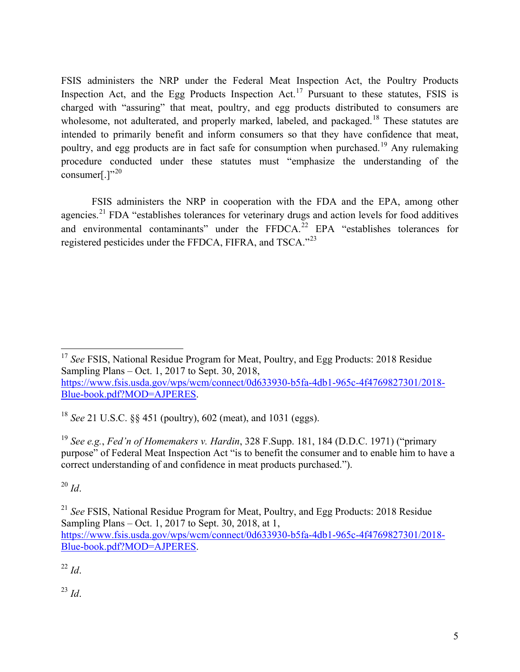FSIS administers the NRP under the Federal Meat Inspection Act, the Poultry Products Inspection Act, and the Egg Products Inspection Act.<sup>17</sup> Pursuant to these statutes, FSIS is charged with "assuring" that meat, poultry, and egg products distributed to consumers are wholesome, not adulterated, and properly marked, labeled, and packaged.<sup>18</sup> These statutes are intended to primarily benefit and inform consumers so that they have confidence that meat, poultry, and egg products are in fact safe for consumption when purchased.<sup>19</sup> Any rulemaking procedure conducted under these statutes must "emphasize the understanding of the consumer $[.]^{320}$ 

FSIS administers the NRP in cooperation with the FDA and the EPA, among other agencies.<sup>21</sup> FDA "establishes tolerances for veterinary drugs and action levels for food additives and environmental contaminants" under the  $FFDCA$ <sup>22</sup> EPA "establishes tolerances for registered pesticides under the FFDCA, FIFRA, and TSCA."<sup>23</sup>

https://www.fsis.usda.gov/wps/wcm/connect/0d633930-b5fa-4db1-965c-4f4769827301/2018- Blue-book.pdf?MOD=AJPERES.

<sup>18</sup> *See* 21 U.S.C. §§ 451 (poultry), 602 (meat), and 1031 (eggs).

<sup>19</sup> *See e.g.*, *Fed'n of Homemakers v. Hardin*, 328 F.Supp. 181, 184 (D.D.C. 1971) ("primary purpose" of Federal Meat Inspection Act "is to benefit the consumer and to enable him to have a correct understanding of and confidence in meat products purchased.").

<sup>20</sup> *Id*.

<sup>21</sup> *See* FSIS, National Residue Program for Meat, Poultry, and Egg Products: 2018 Residue Sampling Plans – Oct. 1, 2017 to Sept. 30, 2018, at 1, https://www.fsis.usda.gov/wps/wcm/connect/0d633930-b5fa-4db1-965c-4f4769827301/2018- Blue-book.pdf?MOD=AJPERES.

 $^{22}$  *Id*.

<sup>23</sup> *Id*.

<sup>&</sup>lt;sup>17</sup> See FSIS, National Residue Program for Meat, Poultry, and Egg Products: 2018 Residue Sampling Plans – Oct. 1, 2017 to Sept. 30, 2018,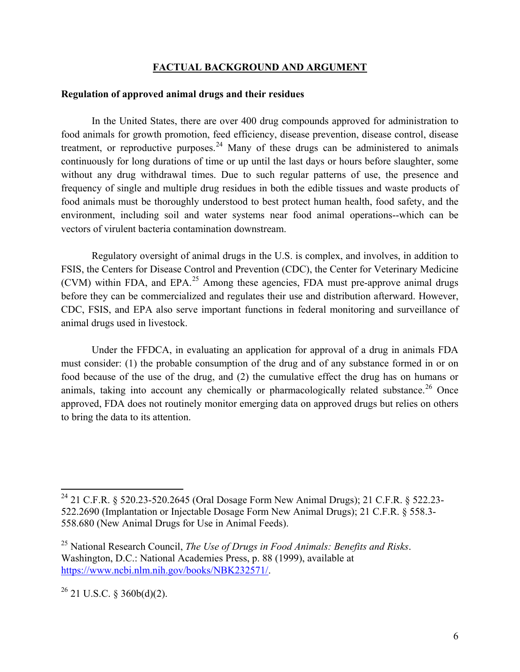#### **FACTUAL BACKGROUND AND ARGUMENT**

#### **Regulation of approved animal drugs and their residues**

In the United States, there are over 400 drug compounds approved for administration to food animals for growth promotion, feed efficiency, disease prevention, disease control, disease treatment, or reproductive purposes.<sup>24</sup> Many of these drugs can be administered to animals continuously for long durations of time or up until the last days or hours before slaughter, some without any drug withdrawal times. Due to such regular patterns of use, the presence and frequency of single and multiple drug residues in both the edible tissues and waste products of food animals must be thoroughly understood to best protect human health, food safety, and the environment, including soil and water systems near food animal operations--which can be vectors of virulent bacteria contamination downstream.

Regulatory oversight of animal drugs in the U.S. is complex, and involves, in addition to FSIS, the Centers for Disease Control and Prevention (CDC), the Center for Veterinary Medicine  $(CVM)$  within FDA, and EPA.<sup>25</sup> Among these agencies, FDA must pre-approve animal drugs before they can be commercialized and regulates their use and distribution afterward. However, CDC, FSIS, and EPA also serve important functions in federal monitoring and surveillance of animal drugs used in livestock.

Under the FFDCA, in evaluating an application for approval of a drug in animals FDA must consider: (1) the probable consumption of the drug and of any substance formed in or on food because of the use of the drug, and (2) the cumulative effect the drug has on humans or animals, taking into account any chemically or pharmacologically related substance.<sup>26</sup> Once approved, FDA does not routinely monitor emerging data on approved drugs but relies on others to bring the data to its attention.

<sup>24</sup> 21 C.F.R. § 520.23-520.2645 (Oral Dosage Form New Animal Drugs); 21 C.F.R. § 522.23- 522.2690 (Implantation or Injectable Dosage Form New Animal Drugs); 21 C.F.R. § 558.3- 558.680 (New Animal Drugs for Use in Animal Feeds).

<sup>25</sup> National Research Council, *The Use of Drugs in Food Animals: Benefits and Risks*. Washington, D.C.: National Academies Press, p. 88 (1999), available at https://www.ncbi.nlm.nih.gov/books/NBK232571/.

 $^{26}$  21 U.S.C. § 360b(d)(2).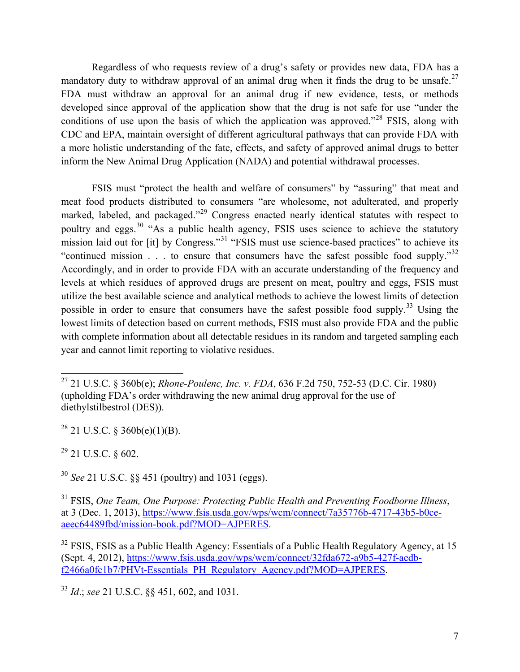Regardless of who requests review of a drug's safety or provides new data, FDA has a mandatory duty to withdraw approval of an animal drug when it finds the drug to be unsafe.<sup>27</sup> FDA must withdraw an approval for an animal drug if new evidence, tests, or methods developed since approval of the application show that the drug is not safe for use "under the conditions of use upon the basis of which the application was approved."<sup>28</sup> FSIS, along with CDC and EPA, maintain oversight of different agricultural pathways that can provide FDA with a more holistic understanding of the fate, effects, and safety of approved animal drugs to better inform the New Animal Drug Application (NADA) and potential withdrawal processes.

FSIS must "protect the health and welfare of consumers" by "assuring" that meat and meat food products distributed to consumers "are wholesome, not adulterated, and properly marked, labeled, and packaged."<sup>29</sup> Congress enacted nearly identical statutes with respect to poultry and eggs.<sup>30</sup> "As a public health agency, FSIS uses science to achieve the statutory mission laid out for [it] by Congress."<sup>31</sup> "FSIS must use science-based practices" to achieve its "continued mission . . . to ensure that consumers have the safest possible food supply."<sup>32</sup> Accordingly, and in order to provide FDA with an accurate understanding of the frequency and levels at which residues of approved drugs are present on meat, poultry and eggs, FSIS must utilize the best available science and analytical methods to achieve the lowest limits of detection possible in order to ensure that consumers have the safest possible food supply.<sup>33</sup> Using the lowest limits of detection based on current methods, FSIS must also provide FDA and the public with complete information about all detectable residues in its random and targeted sampling each year and cannot limit reporting to violative residues.

 $^{28}$  21 U.S.C. § 360b(e)(1)(B).

 $29$  21 U.S.C. § 602.

<sup>30</sup> *See* 21 U.S.C. §§ 451 (poultry) and 1031 (eggs).

l 27 21 U.S.C. § 360b(e); *Rhone-Poulenc, Inc. v. FDA*, 636 F.2d 750, 752-53 (D.C. Cir. 1980) (upholding FDA's order withdrawing the new animal drug approval for the use of diethylstilbestrol (DES)).

<sup>31</sup> FSIS, *One Team, One Purpose: Protecting Public Health and Preventing Foodborne Illness*, at 3 (Dec. 1, 2013), https://www.fsis.usda.gov/wps/wcm/connect/7a35776b-4717-43b5-b0ceaeec64489fbd/mission-book.pdf?MOD=AJPERES.

 $32$  FSIS, FSIS as a Public Health Agency: Essentials of a Public Health Regulatory Agency, at 15 (Sept. 4, 2012), https://www.fsis.usda.gov/wps/wcm/connect/32fda672-a9b5-427f-aedbf2466a0fc1b7/PHVt-Essentials PH Regulatory Agency.pdf?MOD=AJPERES.

<sup>33</sup> *Id*.; *see* 21 U.S.C. §§ 451, 602, and 1031.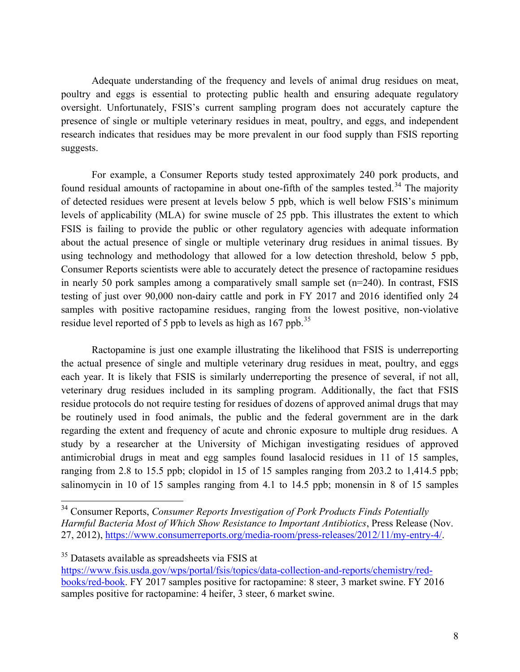Adequate understanding of the frequency and levels of animal drug residues on meat, poultry and eggs is essential to protecting public health and ensuring adequate regulatory oversight. Unfortunately, FSIS's current sampling program does not accurately capture the presence of single or multiple veterinary residues in meat, poultry, and eggs, and independent research indicates that residues may be more prevalent in our food supply than FSIS reporting suggests.

For example, a Consumer Reports study tested approximately 240 pork products, and found residual amounts of ractopamine in about one-fifth of the samples tested.<sup>34</sup> The majority of detected residues were present at levels below 5 ppb, which is well below FSIS's minimum levels of applicability (MLA) for swine muscle of 25 ppb. This illustrates the extent to which FSIS is failing to provide the public or other regulatory agencies with adequate information about the actual presence of single or multiple veterinary drug residues in animal tissues. By using technology and methodology that allowed for a low detection threshold, below 5 ppb, Consumer Reports scientists were able to accurately detect the presence of ractopamine residues in nearly 50 pork samples among a comparatively small sample set (n=240). In contrast, FSIS testing of just over 90,000 non-dairy cattle and pork in FY 2017 and 2016 identified only 24 samples with positive ractopamine residues, ranging from the lowest positive, non-violative residue level reported of 5 ppb to levels as high as 167 ppb.<sup>35</sup>

Ractopamine is just one example illustrating the likelihood that FSIS is underreporting the actual presence of single and multiple veterinary drug residues in meat, poultry, and eggs each year. It is likely that FSIS is similarly underreporting the presence of several, if not all, veterinary drug residues included in its sampling program. Additionally, the fact that FSIS residue protocols do not require testing for residues of dozens of approved animal drugs that may be routinely used in food animals, the public and the federal government are in the dark regarding the extent and frequency of acute and chronic exposure to multiple drug residues. A study by a researcher at the University of Michigan investigating residues of approved antimicrobial drugs in meat and egg samples found lasalocid residues in 11 of 15 samples, ranging from 2.8 to 15.5 ppb; clopidol in 15 of 15 samples ranging from 203.2 to 1,414.5 ppb; salinomycin in 10 of 15 samples ranging from 4.1 to 14.5 ppb; monensin in 8 of 15 samples

 <sup>34</sup> Consumer Reports, *Consumer Reports Investigation of Pork Products Finds Potentially Harmful Bacteria Most of Which Show Resistance to Important Antibiotics*, Press Release (Nov. 27, 2012), https://www.consumerreports.org/media-room/press-releases/2012/11/my-entry-4/.

<sup>35</sup> Datasets available as spreadsheets via FSIS at https://www.fsis.usda.gov/wps/portal/fsis/topics/data-collection-and-reports/chemistry/redbooks/red-book. FY 2017 samples positive for ractopamine: 8 steer, 3 market swine. FY 2016 samples positive for ractopamine: 4 heifer, 3 steer, 6 market swine.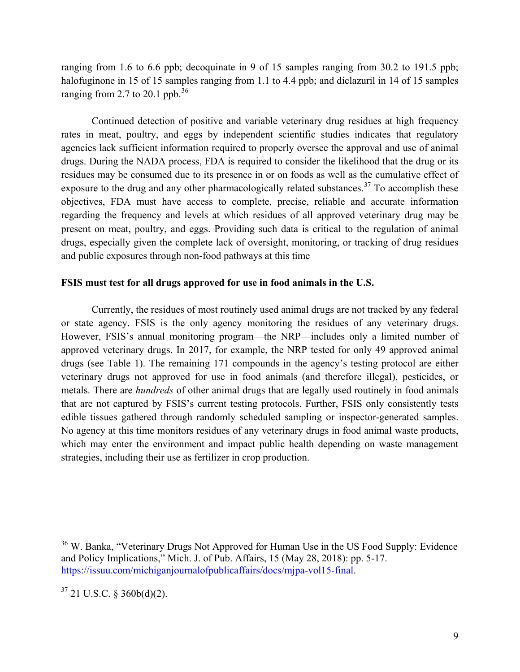ranging from 1.6 to 6.6 ppb; decoquinate in 9 of 15 samples ranging from 30.2 to 191.5 ppb; halofuginone in 15 of 15 samples ranging from 1.1 to 4.4 ppb; and diclazuril in 14 of 15 samples ranging from 2.7 to 20.1 ppb. $36$ 

Continued detection of positive and variable veterinary drug residues at high frequency rates in meat, poultry, and eggs by independent scientific studies indicates that regulatory agencies lack sufficient information required to properly oversee the approval and use of animal drugs. During the NADA process, FDA is required to consider the likelihood that the drug or its residues may be consumed due to its presence in or on foods as well as the cumulative effect of exposure to the drug and any other pharmacologically related substances.<sup>37</sup> To accomplish these objectives, FDA must have access to complete, precise, reliable and accurate information regarding the frequency and levels at which residues of all approved veterinary drug may be present on meat, poultry, and eggs. Providing such data is critical to the regulation of animal drugs, especially given the complete lack of oversight, monitoring, or tracking of drug residues and public exposures through non-food pathways at this time

#### **FSIS must test for all drugs approved for use in food animals in the U.S.**

Currently, the residues of most routinely used animal drugs are not tracked by any federal or state agency. FSIS is the only agency monitoring the residues of any veterinary drugs. However, FSIS's annual monitoring program—the NRP—includes only a limited number of approved veterinary drugs. In 2017, for example, the NRP tested for only 49 approved animal drugs (see Table 1). The remaining 171 compounds in the agency's testing protocol are either veterinary drugs not approved for use in food animals (and therefore illegal), pesticides, or metals. There are *hundreds* of other animal drugs that are legally used routinely in food animals that are not captured by FSIS's current testing protocols. Further, FSIS only consistently tests edible tissues gathered through randomly scheduled sampling or inspector-generated samples. No agency at this time monitors residues of any veterinary drugs in food animal waste products, which may enter the environment and impact public health depending on waste management strategies, including their use as fertilizer in crop production.

<sup>&</sup>lt;sup>36</sup> W. Banka, "Veterinary Drugs Not Approved for Human Use in the US Food Supply: Evidence and Policy Implications," Mich. J. of Pub. Affairs, 15 (May 28, 2018): pp. 5-17. https://issuu.com/michiganjournalofpublicaffairs/docs/mjpa-vol15-final.

 $37$  21 U.S.C. § 360b(d)(2).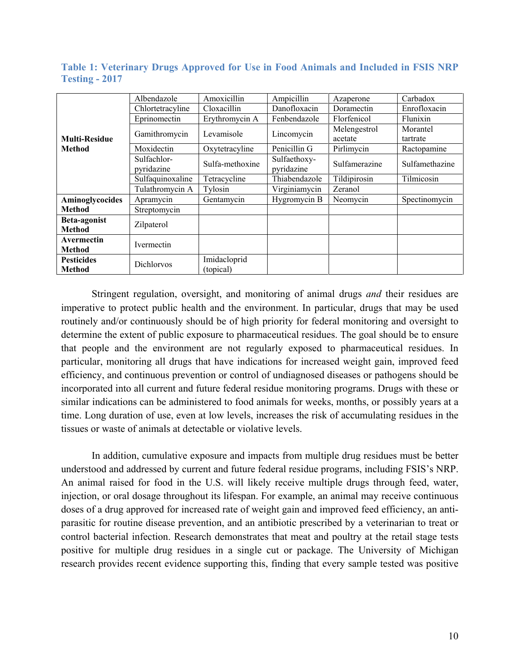|                                    | Albendazole               | Amoxicillin               | Ampicillin                 | Azaperone               | Carbadox       |
|------------------------------------|---------------------------|---------------------------|----------------------------|-------------------------|----------------|
|                                    | Chlortetracyline          | Cloxacillin               | Danofloxacin               | Doramectin              | Enrofloxacin   |
|                                    | Eprinomectin              | Erythromycin A            | Fenbendazole               | Florfenicol             | Flunixin       |
| <b>Multi-Residue</b>               | Gamithromycin             | Levamisole                | Lincomycin                 | Melengestrol<br>acetate | Morantel       |
| <b>Method</b>                      |                           |                           |                            |                         | tartrate       |
|                                    | Moxidectin                | Oxytetracyline            | Penicillin G               | Pirlimycin              | Ractopamine    |
|                                    | Sulfachlor-<br>pyridazine | Sulfa-methoxine           | Sulfaethoxy-<br>pyridazine |                         | Sulfamethazine |
|                                    | Sulfaquinoxaline          | Tetracycline              | Thiabendazole              | Tildipirosin            | Tilmicosin     |
|                                    | Tulathromycin A           | Tylosin                   | Virginiamycin              | Zeranol                 |                |
| Aminoglycocides                    | Apramycin                 | Gentamycin                | Hygromycin B               | Neomycin                | Spectinomycin  |
| <b>Method</b>                      | Streptomycin              |                           |                            |                         |                |
| Beta-agonist<br><b>Method</b>      | Zilpaterol                |                           |                            |                         |                |
| Avermectin<br><b>Method</b>        | <b>Ivermectin</b>         |                           |                            |                         |                |
| <b>Pesticides</b><br><b>Method</b> | <b>Dichlorvos</b>         | Imidacloprid<br>(topical) |                            |                         |                |

**Table 1: Veterinary Drugs Approved for Use in Food Animals and Included in FSIS NRP Testing - 2017**

Stringent regulation, oversight, and monitoring of animal drugs *and* their residues are imperative to protect public health and the environment. In particular, drugs that may be used routinely and/or continuously should be of high priority for federal monitoring and oversight to determine the extent of public exposure to pharmaceutical residues. The goal should be to ensure that people and the environment are not regularly exposed to pharmaceutical residues. In particular, monitoring all drugs that have indications for increased weight gain, improved feed efficiency, and continuous prevention or control of undiagnosed diseases or pathogens should be incorporated into all current and future federal residue monitoring programs. Drugs with these or similar indications can be administered to food animals for weeks, months, or possibly years at a time. Long duration of use, even at low levels, increases the risk of accumulating residues in the tissues or waste of animals at detectable or violative levels.

In addition, cumulative exposure and impacts from multiple drug residues must be better understood and addressed by current and future federal residue programs, including FSIS's NRP. An animal raised for food in the U.S. will likely receive multiple drugs through feed, water, injection, or oral dosage throughout its lifespan. For example, an animal may receive continuous doses of a drug approved for increased rate of weight gain and improved feed efficiency, an antiparasitic for routine disease prevention, and an antibiotic prescribed by a veterinarian to treat or control bacterial infection. Research demonstrates that meat and poultry at the retail stage tests positive for multiple drug residues in a single cut or package. The University of Michigan research provides recent evidence supporting this, finding that every sample tested was positive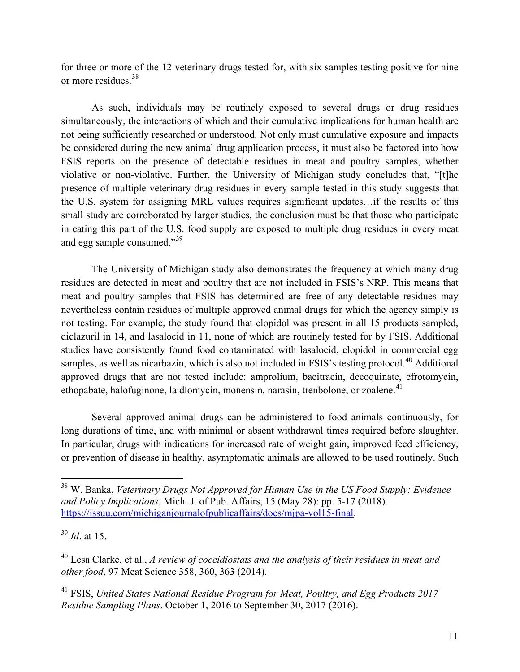for three or more of the 12 veterinary drugs tested for, with six samples testing positive for nine or more residues.<sup>38</sup>

As such, individuals may be routinely exposed to several drugs or drug residues simultaneously, the interactions of which and their cumulative implications for human health are not being sufficiently researched or understood. Not only must cumulative exposure and impacts be considered during the new animal drug application process, it must also be factored into how FSIS reports on the presence of detectable residues in meat and poultry samples, whether violative or non-violative. Further, the University of Michigan study concludes that, "[t]he presence of multiple veterinary drug residues in every sample tested in this study suggests that the U.S. system for assigning MRL values requires significant updates…if the results of this small study are corroborated by larger studies, the conclusion must be that those who participate in eating this part of the U.S. food supply are exposed to multiple drug residues in every meat and egg sample consumed."<sup>39</sup>

The University of Michigan study also demonstrates the frequency at which many drug residues are detected in meat and poultry that are not included in FSIS's NRP. This means that meat and poultry samples that FSIS has determined are free of any detectable residues may nevertheless contain residues of multiple approved animal drugs for which the agency simply is not testing. For example, the study found that clopidol was present in all 15 products sampled, diclazuril in 14, and lasalocid in 11, none of which are routinely tested for by FSIS. Additional studies have consistently found food contaminated with lasalocid, clopidol in commercial egg samples, as well as nicarbazin, which is also not included in FSIS's testing protocol.<sup>40</sup> Additional approved drugs that are not tested include: amprolium, bacitracin, decoquinate, efrotomycin, ethopabate, halofuginone, laidlomycin, monensin, narasin, trenbolone, or zoalene.<sup>41</sup>

Several approved animal drugs can be administered to food animals continuously, for long durations of time, and with minimal or absent withdrawal times required before slaughter. In particular, drugs with indications for increased rate of weight gain, improved feed efficiency, or prevention of disease in healthy, asymptomatic animals are allowed to be used routinely. Such

<sup>38</sup> W. Banka, *Veterinary Drugs Not Approved for Human Use in the US Food Supply: Evidence and Policy Implications*, Mich. J. of Pub. Affairs, 15 (May 28): pp. 5-17 (2018). https://issuu.com/michiganjournalofpublicaffairs/docs/mjpa-vol15-final.

<sup>39</sup> *Id*. at 15.

<sup>40</sup> Lesa Clarke, et al., *A review of coccidiostats and the analysis of their residues in meat and other food*, 97 Meat Science 358, 360, 363 (2014).

<sup>41</sup> FSIS, *United States National Residue Program for Meat, Poultry, and Egg Products 2017 Residue Sampling Plans*. October 1, 2016 to September 30, 2017 (2016).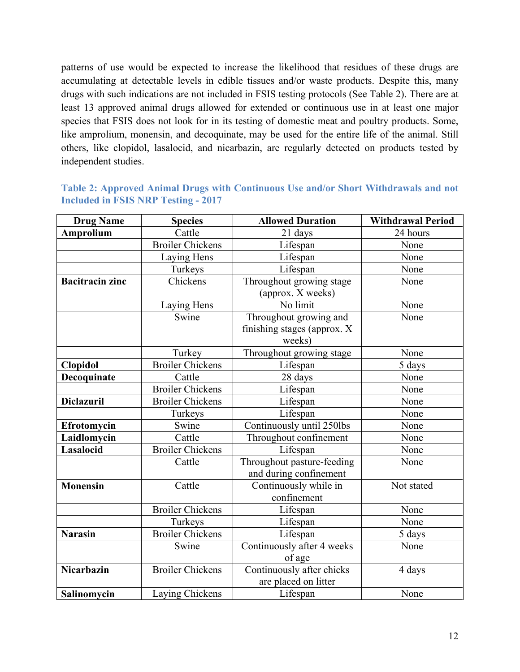patterns of use would be expected to increase the likelihood that residues of these drugs are accumulating at detectable levels in edible tissues and/or waste products. Despite this, many drugs with such indications are not included in FSIS testing protocols (See Table 2). There are at least 13 approved animal drugs allowed for extended or continuous use in at least one major species that FSIS does not look for in its testing of domestic meat and poultry products. Some, like amprolium, monensin, and decoquinate, may be used for the entire life of the animal. Still others, like clopidol, lasalocid, and nicarbazin, are regularly detected on products tested by independent studies.

| <b>Drug Name</b>       | <b>Species</b>          | <b>Allowed Duration</b>                                         | <b>Withdrawal Period</b> |
|------------------------|-------------------------|-----------------------------------------------------------------|--------------------------|
| <b>Amprolium</b>       | Cattle                  | 21 days                                                         | 24 hours                 |
|                        | <b>Broiler Chickens</b> | Lifespan                                                        | None                     |
|                        | Laying Hens             | Lifespan                                                        | None                     |
|                        | Turkeys                 | Lifespan                                                        | None                     |
| <b>Bacitracin zinc</b> | Chickens                | Throughout growing stage<br>(approx. X weeks)                   | None                     |
|                        | Laying Hens             | No limit                                                        | None                     |
|                        | Swine                   | Throughout growing and<br>finishing stages (approx. X<br>weeks) | None                     |
|                        | Turkey                  | Throughout growing stage                                        | None                     |
| <b>Clopidol</b>        | <b>Broiler Chickens</b> | Lifespan                                                        | 5 days                   |
| Decoquinate            | Cattle                  | 28 days                                                         | None                     |
|                        | <b>Broiler Chickens</b> | Lifespan                                                        | None                     |
| <b>Diclazuril</b>      | <b>Broiler Chickens</b> | Lifespan                                                        | None                     |
|                        | Turkeys                 | Lifespan                                                        | None                     |
| Efrotomycin            | Swine                   | Continuously until 250lbs                                       | None                     |
| Laidlomycin            | Cattle                  | Throughout confinement                                          | None                     |
| Lasalocid              | <b>Broiler Chickens</b> | Lifespan                                                        | None                     |
|                        | Cattle                  | Throughout pasture-feeding<br>and during confinement            | None                     |
| <b>Monensin</b>        | Cattle                  | Continuously while in<br>confinement                            | Not stated               |
|                        | <b>Broiler Chickens</b> | Lifespan                                                        | None                     |
|                        | Turkeys                 | Lifespan                                                        | None                     |
| <b>Narasin</b>         | <b>Broiler Chickens</b> | Lifespan                                                        | 5 days                   |
|                        | Swine                   | Continuously after 4 weeks<br>of age                            | None                     |
| <b>Nicarbazin</b>      | <b>Broiler Chickens</b> | Continuously after chicks<br>are placed on litter               | 4 days                   |
| Salinomycin            | Laying Chickens         | Lifespan                                                        | None                     |

| Table 2: Approved Animal Drugs with Continuous Use and/or Short Withdrawals and not |  |  |  |
|-------------------------------------------------------------------------------------|--|--|--|
| <b>Included in FSIS NRP Testing - 2017</b>                                          |  |  |  |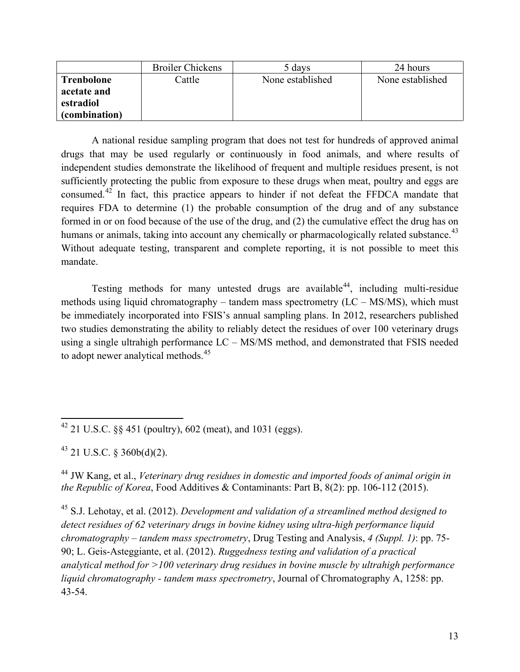|                   | <b>Broiler Chickens</b> | 5 days           | 24 hours         |
|-------------------|-------------------------|------------------|------------------|
| <b>Trenbolone</b> | Cattle                  | None established | None established |
| acetate and       |                         |                  |                  |
| estradiol         |                         |                  |                  |
| (combination)     |                         |                  |                  |

A national residue sampling program that does not test for hundreds of approved animal drugs that may be used regularly or continuously in food animals, and where results of independent studies demonstrate the likelihood of frequent and multiple residues present, is not sufficiently protecting the public from exposure to these drugs when meat, poultry and eggs are consumed.<sup>42</sup> In fact, this practice appears to hinder if not defeat the FFDCA mandate that requires FDA to determine (1) the probable consumption of the drug and of any substance formed in or on food because of the use of the drug, and (2) the cumulative effect the drug has on humans or animals, taking into account any chemically or pharmacologically related substance.<sup>43</sup> Without adequate testing, transparent and complete reporting, it is not possible to meet this mandate.

Testing methods for many untested drugs are available  $44$ , including multi-residue methods using liquid chromatography – tandem mass spectrometry  $(LC - MS/MS)$ , which must be immediately incorporated into FSIS's annual sampling plans. In 2012, researchers published two studies demonstrating the ability to reliably detect the residues of over 100 veterinary drugs using a single ultrahigh performance LC – MS/MS method, and demonstrated that FSIS needed to adopt newer analytical methods.<sup>45</sup>

 $43$  21 U.S.C. § 360b(d)(2).

<sup>44</sup> JW Kang, et al., *Veterinary drug residues in domestic and imported foods of animal origin in the Republic of Korea*, Food Additives & Contaminants: Part B, 8(2): pp. 106-112 (2015).

<sup>45</sup> S.J. Lehotay, et al. (2012). *Development and validation of a streamlined method designed to detect residues of 62 veterinary drugs in bovine kidney using ultra-high performance liquid chromatography – tandem mass spectrometry*, Drug Testing and Analysis, *4 (Suppl. 1)*: pp. 75- 90; L. Geis-Asteggiante, et al. (2012). *Ruggedness testing and validation of a practical analytical method for >100 veterinary drug residues in bovine muscle by ultrahigh performance liquid chromatography - tandem mass spectrometry*, Journal of Chromatography A, 1258: pp. 43-54.

<sup>&</sup>lt;sup>42</sup> 21 U.S.C.  $\&$  451 (poultry), 602 (meat), and 1031 (eggs).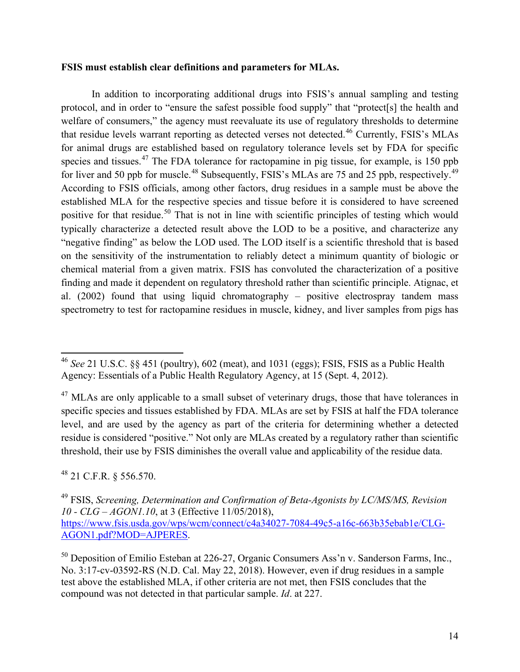#### **FSIS must establish clear definitions and parameters for MLAs.**

In addition to incorporating additional drugs into FSIS's annual sampling and testing protocol, and in order to "ensure the safest possible food supply" that "protect[s] the health and welfare of consumers," the agency must reevaluate its use of regulatory thresholds to determine that residue levels warrant reporting as detected verses not detected.<sup>46</sup> Currently, FSIS's MLAs for animal drugs are established based on regulatory tolerance levels set by FDA for specific species and tissues.<sup>47</sup> The FDA tolerance for ractopamine in pig tissue, for example, is 150 ppb for liver and 50 ppb for muscle.<sup>48</sup> Subsequently, FSIS's MLAs are 75 and 25 ppb, respectively.<sup>49</sup> According to FSIS officials, among other factors, drug residues in a sample must be above the established MLA for the respective species and tissue before it is considered to have screened positive for that residue.<sup>50</sup> That is not in line with scientific principles of testing which would typically characterize a detected result above the LOD to be a positive, and characterize any "negative finding" as below the LOD used. The LOD itself is a scientific threshold that is based on the sensitivity of the instrumentation to reliably detect a minimum quantity of biologic or chemical material from a given matrix. FSIS has convoluted the characterization of a positive finding and made it dependent on regulatory threshold rather than scientific principle. Atignac, et al. (2002) found that using liquid chromatography – positive electrospray tandem mass spectrometry to test for ractopamine residues in muscle, kidney, and liver samples from pigs has

<sup>48</sup> 21 C.F.R. § 556.570.

<sup>46</sup> *See* 21 U.S.C. §§ 451 (poultry), 602 (meat), and 1031 (eggs); FSIS, FSIS as a Public Health Agency: Essentials of a Public Health Regulatory Agency, at 15 (Sept. 4, 2012).

 $47$  MLAs are only applicable to a small subset of veterinary drugs, those that have tolerances in specific species and tissues established by FDA. MLAs are set by FSIS at half the FDA tolerance level, and are used by the agency as part of the criteria for determining whether a detected residue is considered "positive." Not only are MLAs created by a regulatory rather than scientific threshold, their use by FSIS diminishes the overall value and applicability of the residue data.

<sup>49</sup> FSIS, *Screening, Determination and Confirmation of Beta-Agonists by LC/MS/MS, Revision 10 - CLG – AGON1.10*, at 3 (Effective 11/05/2018),

https://www.fsis.usda.gov/wps/wcm/connect/c4a34027-7084-49c5-a16c-663b35ebab1e/CLG-AGON1.pdf?MOD=AJPERES.

<sup>&</sup>lt;sup>50</sup> Deposition of Emilio Esteban at 226-27, Organic Consumers Ass'n v. Sanderson Farms, Inc., No. 3:17-cv-03592-RS (N.D. Cal. May 22, 2018). However, even if drug residues in a sample test above the established MLA, if other criteria are not met, then FSIS concludes that the compound was not detected in that particular sample. *Id*. at 227.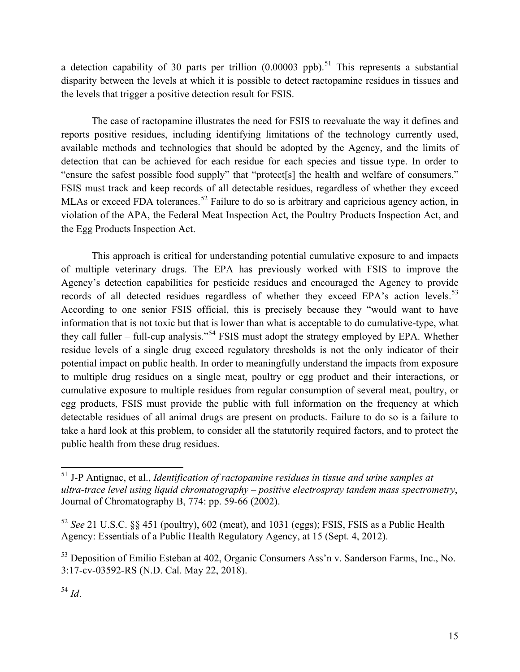a detection capability of 30 parts per trillion  $(0.00003 \text{ pb})$ .<sup>51</sup> This represents a substantial disparity between the levels at which it is possible to detect ractopamine residues in tissues and the levels that trigger a positive detection result for FSIS.

The case of ractopamine illustrates the need for FSIS to reevaluate the way it defines and reports positive residues, including identifying limitations of the technology currently used, available methods and technologies that should be adopted by the Agency, and the limits of detection that can be achieved for each residue for each species and tissue type. In order to "ensure the safest possible food supply" that "protect[s] the health and welfare of consumers," FSIS must track and keep records of all detectable residues, regardless of whether they exceed MLAs or exceed FDA tolerances.<sup>52</sup> Failure to do so is arbitrary and capricious agency action, in violation of the APA, the Federal Meat Inspection Act, the Poultry Products Inspection Act, and the Egg Products Inspection Act.

This approach is critical for understanding potential cumulative exposure to and impacts of multiple veterinary drugs. The EPA has previously worked with FSIS to improve the Agency's detection capabilities for pesticide residues and encouraged the Agency to provide records of all detected residues regardless of whether they exceed EPA's action levels.<sup>53</sup> According to one senior FSIS official, this is precisely because they "would want to have information that is not toxic but that is lower than what is acceptable to do cumulative-type, what they call fuller – full-cup analysis."<sup>54</sup> FSIS must adopt the strategy employed by EPA. Whether residue levels of a single drug exceed regulatory thresholds is not the only indicator of their potential impact on public health. In order to meaningfully understand the impacts from exposure to multiple drug residues on a single meat, poultry or egg product and their interactions, or cumulative exposure to multiple residues from regular consumption of several meat, poultry, or egg products, FSIS must provide the public with full information on the frequency at which detectable residues of all animal drugs are present on products. Failure to do so is a failure to take a hard look at this problem, to consider all the statutorily required factors, and to protect the public health from these drug residues.

<sup>51</sup> J-P Antignac, et al., *Identification of ractopamine residues in tissue and urine samples at ultra-trace level using liquid chromatography – positive electrospray tandem mass spectrometry*, Journal of Chromatography B, 774: pp. 59-66 (2002).

<sup>52</sup> *See* 21 U.S.C. §§ 451 (poultry), 602 (meat), and 1031 (eggs); FSIS, FSIS as a Public Health Agency: Essentials of a Public Health Regulatory Agency, at 15 (Sept. 4, 2012).

<sup>&</sup>lt;sup>53</sup> Deposition of Emilio Esteban at 402, Organic Consumers Ass'n v. Sanderson Farms, Inc., No. 3:17-cv-03592-RS (N.D. Cal. May 22, 2018).

 $^{54}$  *Id.*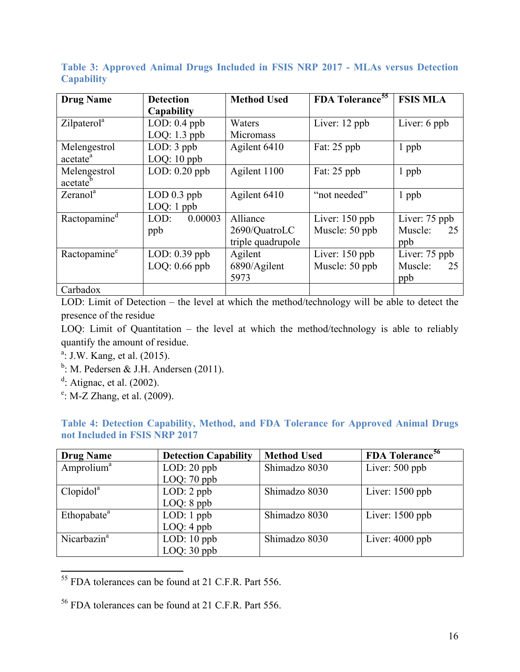**Table 3: Approved Animal Drugs Included in FSIS NRP 2017 - MLAs versus Detection Capability**

| <b>Drug Name</b>         | <b>Detection</b>   | <b>Method Used</b> | FDA Tolerance <sup>55</sup> | <b>FSIS MLA</b> |
|--------------------------|--------------------|--------------------|-----------------------------|-----------------|
|                          | Capability         |                    |                             |                 |
| Zilpaterol <sup>a</sup>  | $LOD: 0.4$ ppb     | Waters             | Liver: 12 ppb               | Liver: 6 ppb    |
|                          | LOQ: $1.3$ ppb     | Micromass          |                             |                 |
| Melengestrol             | $LOD: 3$ ppb       | Agilent 6410       | Fat: 25 ppb                 | 1 ppb           |
| acetate <sup>a</sup>     | $LOQ: 10$ ppb      |                    |                             |                 |
| Melengestrol             | LOD: $0.20$ ppb    | Agilent 1100       | Fat: 25 ppb                 | $1$ ppb         |
| acetate <sup>b</sup>     |                    |                    |                             |                 |
| Zeranol <sup>a</sup>     | $LOD$ 0.3 ppb      | Agilent 6410       | "not needed"                | 1 ppb           |
|                          | $LOQ: 1$ ppb       |                    |                             |                 |
| Ractopamine <sup>d</sup> | 0.00003<br>$LOD$ : | Alliance           | Liver: $150$ ppb            | Liver: 75 ppb   |
|                          | ppb                | 2690/QuatroLC      | Muscle: 50 ppb              | Muscle:<br>25   |
|                          |                    | triple quadrupole  |                             | ppb             |
| Ractopamine <sup>e</sup> | $LOD: 0.39$ ppb    | Agilent            | Liver: $150$ ppb            | Liver: 75 ppb   |
|                          | $LOQ: 0.66$ ppb    | 6890/Agilent       | Muscle: 50 ppb              | Muscle:<br>25   |
|                          |                    | 5973               |                             | ppb             |
| Carbadox                 |                    |                    |                             |                 |

LOD: Limit of Detection – the level at which the method/technology will be able to detect the presence of the residue

LOQ: Limit of Quantitation – the level at which the method/technology is able to reliably quantify the amount of residue.

- <sup>a</sup>: J.W. Kang, et al. (2015).
- $b$ : M. Pedersen & J.H. Andersen (2011).
- $d$ : Atignac, et al. (2002).
- <sup>e</sup>: M-Z Zhang, et al. (2009).

|  | Table 4: Detection Capability, Method, and FDA Tolerance for Approved Animal Drugs |  |  |  |  |
|--|------------------------------------------------------------------------------------|--|--|--|--|
|  | not Included in FSIS NRP 2017                                                      |  |  |  |  |

| <b>Drug Name</b>        | <b>Detection Capability</b> | <b>Method Used</b> | FDA Tolerance <sup>56</sup> |
|-------------------------|-----------------------------|--------------------|-----------------------------|
| Amprolium <sup>a</sup>  | $LOD: 20$ ppb               | Shimadzo 8030      | Liver: $500$ ppb            |
|                         | LOQ: $70$ ppb               |                    |                             |
| Clopidol <sup>a</sup>   | $LOD: 2$ ppb                | Shimadzo 8030      | Liver: $1500$ ppb           |
|                         | $LOQ: 8$ ppb                |                    |                             |
| Ethopabate <sup>a</sup> | $LOD: 1$ ppb                | Shimadzo 8030      | Liver: $1500$ ppb           |
|                         | $LOQ: 4$ ppb                |                    |                             |
| Nicarbazin <sup>a</sup> | LOD: $10$ ppb               | Shimadzo 8030      | Liver: $4000$ ppb           |
|                         | $LOQ: 30$ ppb               |                    |                             |

<sup>55</sup> FDA tolerances can be found at 21 C.F.R. Part 556.

<sup>56</sup> FDA tolerances can be found at 21 C.F.R. Part 556.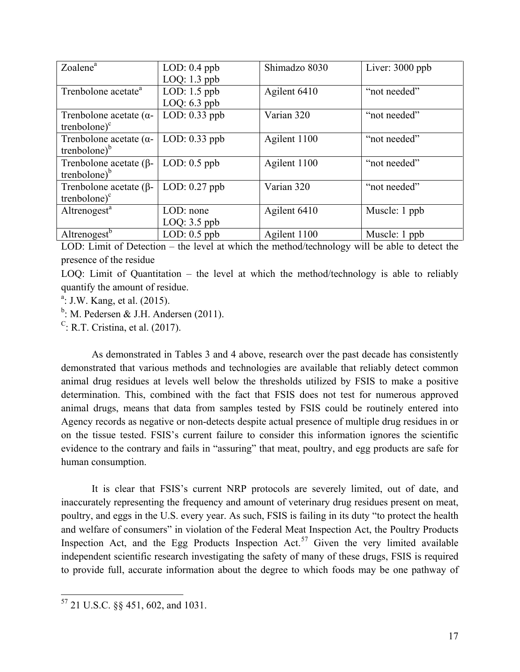| Zoalene <sup>a</sup>                                  | $LOD: 0.4$ ppb<br>$LOQ: 1.3$ ppb | Shimadzo 8030 | Liver: 3000 ppb |
|-------------------------------------------------------|----------------------------------|---------------|-----------------|
| Trenbolone acetate <sup>a</sup>                       | LOD: $1.5$ ppb<br>$LOQ: 6.3$ ppb | Agilent 6410  | "not needed"    |
| Trenbolone acetate $(\alpha$ -<br>trenbolone $)^c$    | $LOD: 0.33$ ppb                  | Varian 320    | "not needed"    |
| Trenbolone acetate ( $\alpha$ -<br>trenbolone $)^{b}$ | $LOD: 0.33$ ppb                  | Agilent 1100  | "not needed"    |
| Trenbolone acetate ( $\beta$ -<br>trenbolone $)^{b}$  | $LOD: 0.5$ ppb                   | Agilent 1100  | "not needed"    |
| Trenbolone acetate ( $\beta$ -<br>trenbolone $)^c$    | LOD: $0.27$ ppb                  | Varian 320    | "not needed"    |
| Altrenogest <sup>a</sup>                              | LOD: none<br>$LOQ: 3.5$ ppb      | Agilent 6410  | Muscle: 1 ppb   |
| Altrenogest <sup>b</sup>                              | LOD: $0.5$ ppb                   | Agilent 1100  | Muscle: 1 ppb   |

LOD: Limit of Detection – the level at which the method/technology will be able to detect the presence of the residue

LOQ: Limit of Quantitation – the level at which the method/technology is able to reliably quantify the amount of residue.

<sup>a</sup>: J.W. Kang, et al. (2015).

 $b$ : M. Pedersen & J.H. Andersen (2011).

<sup>C</sup>: R.T. Cristina, et al.  $(2017)$ .

As demonstrated in Tables 3 and 4 above, research over the past decade has consistently demonstrated that various methods and technologies are available that reliably detect common animal drug residues at levels well below the thresholds utilized by FSIS to make a positive determination. This, combined with the fact that FSIS does not test for numerous approved animal drugs, means that data from samples tested by FSIS could be routinely entered into Agency records as negative or non-detects despite actual presence of multiple drug residues in or on the tissue tested. FSIS's current failure to consider this information ignores the scientific evidence to the contrary and fails in "assuring" that meat, poultry, and egg products are safe for human consumption.

It is clear that FSIS's current NRP protocols are severely limited, out of date, and inaccurately representing the frequency and amount of veterinary drug residues present on meat, poultry, and eggs in the U.S. every year. As such, FSIS is failing in its duty "to protect the health and welfare of consumers" in violation of the Federal Meat Inspection Act, the Poultry Products Inspection Act, and the Egg Products Inspection Act.<sup>57</sup> Given the very limited available independent scientific research investigating the safety of many of these drugs, FSIS is required to provide full, accurate information about the degree to which foods may be one pathway of

<sup>57</sup> 21 U.S.C. §§ 451, 602, and 1031.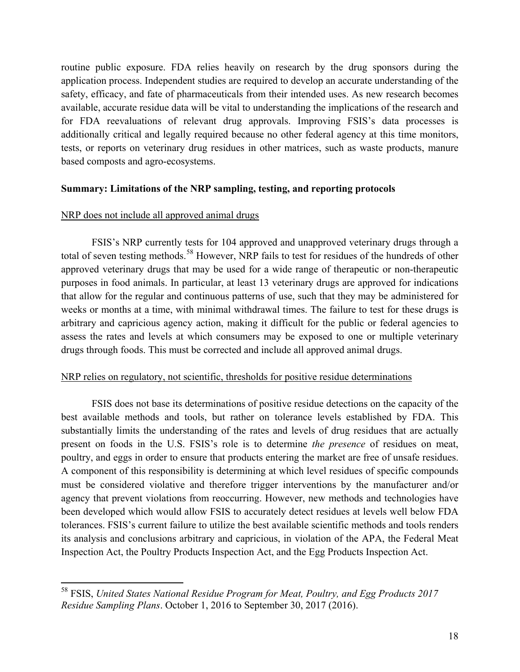routine public exposure. FDA relies heavily on research by the drug sponsors during the application process. Independent studies are required to develop an accurate understanding of the safety, efficacy, and fate of pharmaceuticals from their intended uses. As new research becomes available, accurate residue data will be vital to understanding the implications of the research and for FDA reevaluations of relevant drug approvals. Improving FSIS's data processes is additionally critical and legally required because no other federal agency at this time monitors, tests, or reports on veterinary drug residues in other matrices, such as waste products, manure based composts and agro-ecosystems.

### **Summary: Limitations of the NRP sampling, testing, and reporting protocols**

### NRP does not include all approved animal drugs

FSIS's NRP currently tests for 104 approved and unapproved veterinary drugs through a total of seven testing methods.<sup>58</sup> However, NRP fails to test for residues of the hundreds of other approved veterinary drugs that may be used for a wide range of therapeutic or non-therapeutic purposes in food animals. In particular, at least 13 veterinary drugs are approved for indications that allow for the regular and continuous patterns of use, such that they may be administered for weeks or months at a time, with minimal withdrawal times. The failure to test for these drugs is arbitrary and capricious agency action, making it difficult for the public or federal agencies to assess the rates and levels at which consumers may be exposed to one or multiple veterinary drugs through foods. This must be corrected and include all approved animal drugs.

#### NRP relies on regulatory, not scientific, thresholds for positive residue determinations

FSIS does not base its determinations of positive residue detections on the capacity of the best available methods and tools, but rather on tolerance levels established by FDA. This substantially limits the understanding of the rates and levels of drug residues that are actually present on foods in the U.S. FSIS's role is to determine *the presence* of residues on meat, poultry, and eggs in order to ensure that products entering the market are free of unsafe residues. A component of this responsibility is determining at which level residues of specific compounds must be considered violative and therefore trigger interventions by the manufacturer and/or agency that prevent violations from reoccurring. However, new methods and technologies have been developed which would allow FSIS to accurately detect residues at levels well below FDA tolerances. FSIS's current failure to utilize the best available scientific methods and tools renders its analysis and conclusions arbitrary and capricious, in violation of the APA, the Federal Meat Inspection Act, the Poultry Products Inspection Act, and the Egg Products Inspection Act.

<sup>58</sup> FSIS, *United States National Residue Program for Meat, Poultry, and Egg Products 2017 Residue Sampling Plans*. October 1, 2016 to September 30, 2017 (2016).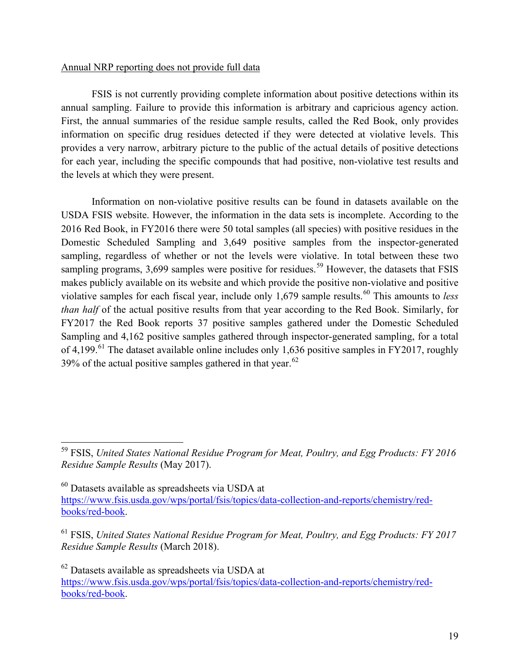#### Annual NRP reporting does not provide full data

FSIS is not currently providing complete information about positive detections within its annual sampling. Failure to provide this information is arbitrary and capricious agency action. First, the annual summaries of the residue sample results, called the Red Book, only provides information on specific drug residues detected if they were detected at violative levels. This provides a very narrow, arbitrary picture to the public of the actual details of positive detections for each year, including the specific compounds that had positive, non-violative test results and the levels at which they were present.

Information on non-violative positive results can be found in datasets available on the USDA FSIS website. However, the information in the data sets is incomplete. According to the 2016 Red Book, in FY2016 there were 50 total samples (all species) with positive residues in the Domestic Scheduled Sampling and 3,649 positive samples from the inspector-generated sampling, regardless of whether or not the levels were violative. In total between these two sampling programs,  $3,699$  samples were positive for residues.<sup>59</sup> However, the datasets that FSIS makes publicly available on its website and which provide the positive non-violative and positive violative samples for each fiscal year, include only 1,679 sample results.<sup>60</sup> This amounts to *less than half* of the actual positive results from that year according to the Red Book. Similarly, for FY2017 the Red Book reports 37 positive samples gathered under the Domestic Scheduled Sampling and 4,162 positive samples gathered through inspector-generated sampling, for a total of 4,199.<sup>61</sup> The dataset available online includes only 1,636 positive samples in FY2017, roughly 39% of the actual positive samples gathered in that year. $62$ 

 $60$  Datasets available as spreadsheets via USDA at https://www.fsis.usda.gov/wps/portal/fsis/topics/data-collection-and-reports/chemistry/redbooks/red-book.

<sup>61</sup> FSIS, *United States National Residue Program for Meat, Poultry, and Egg Products: FY 2017 Residue Sample Results* (March 2018).

 $62$  Datasets available as spreadsheets via USDA at https://www.fsis.usda.gov/wps/portal/fsis/topics/data-collection-and-reports/chemistry/redbooks/red-book.

<sup>59</sup> FSIS, *United States National Residue Program for Meat, Poultry, and Egg Products: FY 2016 Residue Sample Results* (May 2017).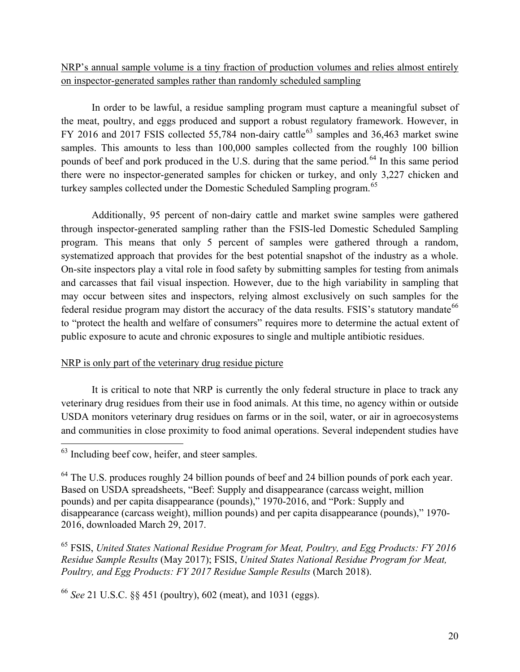NRP's annual sample volume is a tiny fraction of production volumes and relies almost entirely on inspector-generated samples rather than randomly scheduled sampling

In order to be lawful, a residue sampling program must capture a meaningful subset of the meat, poultry, and eggs produced and support a robust regulatory framework. However, in FY 2016 and 2017 FSIS collected 55,784 non-dairy cattle<sup>63</sup> samples and 36,463 market swine samples. This amounts to less than 100,000 samples collected from the roughly 100 billion pounds of beef and pork produced in the U.S. during that the same period.<sup>64</sup> In this same period there were no inspector-generated samples for chicken or turkey, and only 3,227 chicken and turkey samples collected under the Domestic Scheduled Sampling program.<sup>65</sup>

Additionally, 95 percent of non-dairy cattle and market swine samples were gathered through inspector-generated sampling rather than the FSIS-led Domestic Scheduled Sampling program. This means that only 5 percent of samples were gathered through a random, systematized approach that provides for the best potential snapshot of the industry as a whole. On-site inspectors play a vital role in food safety by submitting samples for testing from animals and carcasses that fail visual inspection. However, due to the high variability in sampling that may occur between sites and inspectors, relying almost exclusively on such samples for the federal residue program may distort the accuracy of the data results. FSIS's statutory mandate<sup>66</sup> to "protect the health and welfare of consumers" requires more to determine the actual extent of public exposure to acute and chronic exposures to single and multiple antibiotic residues.

## NRP is only part of the veterinary drug residue picture

It is critical to note that NRP is currently the only federal structure in place to track any veterinary drug residues from their use in food animals. At this time, no agency within or outside USDA monitors veterinary drug residues on farms or in the soil, water, or air in agroecosystems and communities in close proximity to food animal operations. Several independent studies have

<sup>65</sup> FSIS, *United States National Residue Program for Meat, Poultry, and Egg Products: FY 2016 Residue Sample Results* (May 2017); FSIS, *United States National Residue Program for Meat, Poultry, and Egg Products: FY 2017 Residue Sample Results* (March 2018).

<sup>66</sup> *See* 21 U.S.C. §§ 451 (poultry), 602 (meat), and 1031 (eggs).

<sup>&</sup>lt;sup>63</sup> Including beef cow, heifer, and steer samples.

<sup>&</sup>lt;sup>64</sup> The U.S. produces roughly 24 billion pounds of beef and 24 billion pounds of pork each year. Based on USDA spreadsheets, "Beef: Supply and disappearance (carcass weight, million pounds) and per capita disappearance (pounds)," 1970-2016, and "Pork: Supply and disappearance (carcass weight), million pounds) and per capita disappearance (pounds)," 1970- 2016, downloaded March 29, 2017.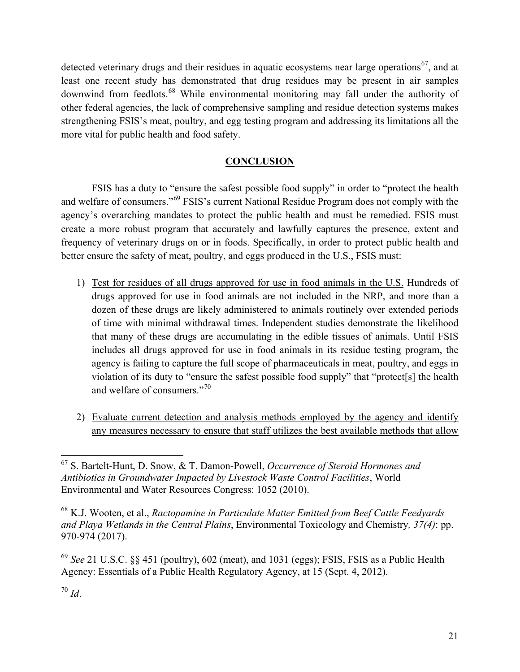detected veterinary drugs and their residues in aquatic ecosystems near large operations<sup>67</sup>, and at least one recent study has demonstrated that drug residues may be present in air samples downwind from feedlots.<sup>68</sup> While environmental monitoring may fall under the authority of other federal agencies, the lack of comprehensive sampling and residue detection systems makes strengthening FSIS's meat, poultry, and egg testing program and addressing its limitations all the more vital for public health and food safety.

# **CONCLUSION**

FSIS has a duty to "ensure the safest possible food supply" in order to "protect the health and welfare of consumers."<sup>69</sup> FSIS's current National Residue Program does not comply with the agency's overarching mandates to protect the public health and must be remedied. FSIS must create a more robust program that accurately and lawfully captures the presence, extent and frequency of veterinary drugs on or in foods. Specifically, in order to protect public health and better ensure the safety of meat, poultry, and eggs produced in the U.S., FSIS must:

- 1) Test for residues of all drugs approved for use in food animals in the U.S. Hundreds of drugs approved for use in food animals are not included in the NRP, and more than a dozen of these drugs are likely administered to animals routinely over extended periods of time with minimal withdrawal times. Independent studies demonstrate the likelihood that many of these drugs are accumulating in the edible tissues of animals. Until FSIS includes all drugs approved for use in food animals in its residue testing program, the agency is failing to capture the full scope of pharmaceuticals in meat, poultry, and eggs in violation of its duty to "ensure the safest possible food supply" that "protect[s] the health and welfare of consumers."<sup>70</sup>
- 2) Evaluate current detection and analysis methods employed by the agency and identify any measures necessary to ensure that staff utilizes the best available methods that allow

<sup>67</sup> S. Bartelt-Hunt, D. Snow, & T. Damon-Powell, *Occurrence of Steroid Hormones and Antibiotics in Groundwater Impacted by Livestock Waste Control Facilities*, World Environmental and Water Resources Congress: 1052 (2010).

<sup>68</sup> K.J. Wooten, et al., *Ractopamine in Particulate Matter Emitted from Beef Cattle Feedyards and Playa Wetlands in the Central Plains*, Environmental Toxicology and Chemistry*, 37(4)*: pp. 970-974 (2017).

<sup>69</sup> *See* 21 U.S.C. §§ 451 (poultry), 602 (meat), and 1031 (eggs); FSIS, FSIS as a Public Health Agency: Essentials of a Public Health Regulatory Agency, at 15 (Sept. 4, 2012).

<sup>70</sup> *Id*.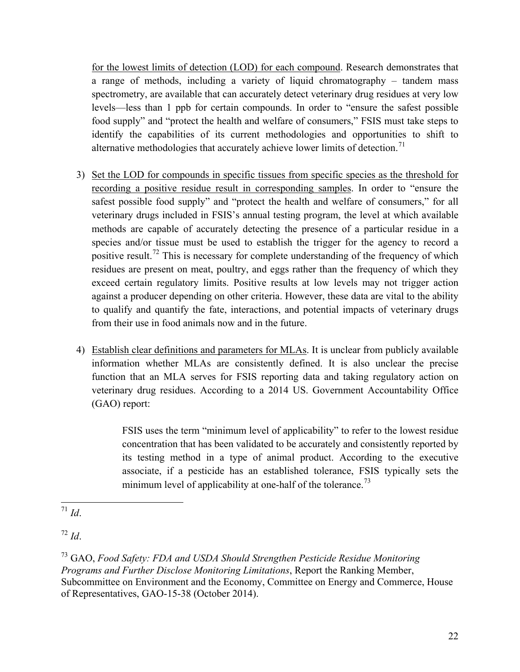for the lowest limits of detection (LOD) for each compound. Research demonstrates that a range of methods, including a variety of liquid chromatography – tandem mass spectrometry, are available that can accurately detect veterinary drug residues at very low levels—less than 1 ppb for certain compounds. In order to "ensure the safest possible food supply" and "protect the health and welfare of consumers," FSIS must take steps to identify the capabilities of its current methodologies and opportunities to shift to alternative methodologies that accurately achieve lower limits of detection.<sup>71</sup>

- 3) Set the LOD for compounds in specific tissues from specific species as the threshold for recording a positive residue result in corresponding samples. In order to "ensure the safest possible food supply" and "protect the health and welfare of consumers," for all veterinary drugs included in FSIS's annual testing program, the level at which available methods are capable of accurately detecting the presence of a particular residue in a species and/or tissue must be used to establish the trigger for the agency to record a positive result.<sup>72</sup> This is necessary for complete understanding of the frequency of which residues are present on meat, poultry, and eggs rather than the frequency of which they exceed certain regulatory limits. Positive results at low levels may not trigger action against a producer depending on other criteria. However, these data are vital to the ability to qualify and quantify the fate, interactions, and potential impacts of veterinary drugs from their use in food animals now and in the future.
- 4) Establish clear definitions and parameters for MLAs. It is unclear from publicly available information whether MLAs are consistently defined. It is also unclear the precise function that an MLA serves for FSIS reporting data and taking regulatory action on veterinary drug residues. According to a 2014 US. Government Accountability Office (GAO) report:

FSIS uses the term "minimum level of applicability" to refer to the lowest residue concentration that has been validated to be accurately and consistently reported by its testing method in a type of animal product. According to the executive associate, if a pesticide has an established tolerance, FSIS typically sets the minimum level of applicability at one-half of the tolerance.<sup>73</sup>

<sup>72</sup> *Id*.

 $\frac{1}{71}$  *Id.* 

<sup>73</sup> GAO, *Food Safety: FDA and USDA Should Strengthen Pesticide Residue Monitoring Programs and Further Disclose Monitoring Limitations*, Report the Ranking Member, Subcommittee on Environment and the Economy, Committee on Energy and Commerce, House of Representatives, GAO-15-38 (October 2014).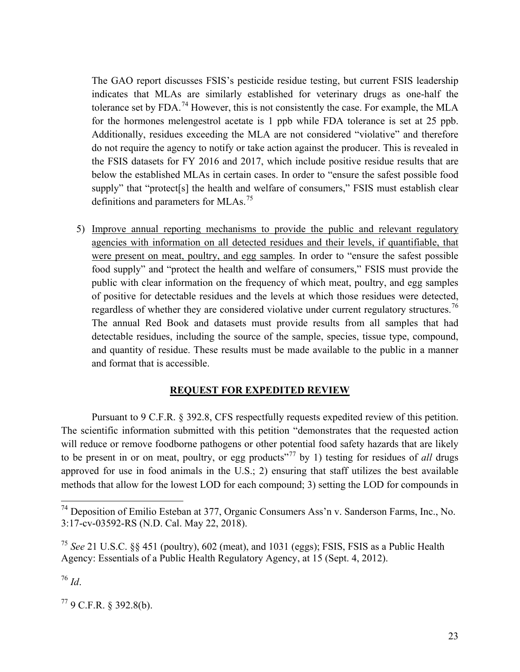The GAO report discusses FSIS's pesticide residue testing, but current FSIS leadership indicates that MLAs are similarly established for veterinary drugs as one-half the tolerance set by FDA.<sup>74</sup> However, this is not consistently the case. For example, the MLA for the hormones melengestrol acetate is 1 ppb while FDA tolerance is set at 25 ppb. Additionally, residues exceeding the MLA are not considered "violative" and therefore do not require the agency to notify or take action against the producer. This is revealed in the FSIS datasets for FY 2016 and 2017, which include positive residue results that are below the established MLAs in certain cases. In order to "ensure the safest possible food supply" that "protect<sup>[s]</sup> the health and welfare of consumers," FSIS must establish clear definitions and parameters for MLAs.<sup>75</sup>

5) Improve annual reporting mechanisms to provide the public and relevant regulatory agencies with information on all detected residues and their levels, if quantifiable, that were present on meat, poultry, and egg samples. In order to "ensure the safest possible food supply" and "protect the health and welfare of consumers," FSIS must provide the public with clear information on the frequency of which meat, poultry, and egg samples of positive for detectable residues and the levels at which those residues were detected, regardless of whether they are considered violative under current regulatory structures.<sup>76</sup> The annual Red Book and datasets must provide results from all samples that had detectable residues, including the source of the sample, species, tissue type, compound, and quantity of residue. These results must be made available to the public in a manner and format that is accessible.

#### **REQUEST FOR EXPEDITED REVIEW**

Pursuant to 9 C.F.R. § 392.8, CFS respectfully requests expedited review of this petition. The scientific information submitted with this petition "demonstrates that the requested action will reduce or remove foodborne pathogens or other potential food safety hazards that are likely to be present in or on meat, poultry, or egg products<sup>"77</sup> by 1) testing for residues of *all* drugs approved for use in food animals in the U.S.; 2) ensuring that staff utilizes the best available methods that allow for the lowest LOD for each compound; 3) setting the LOD for compounds in

<sup>76</sup> *Id*.

 $779$  C.F.R. § 392.8(b).

<sup>74</sup> Deposition of Emilio Esteban at 377, Organic Consumers Ass'n v. Sanderson Farms, Inc., No. 3:17-cv-03592-RS (N.D. Cal. May 22, 2018).

<sup>75</sup> *See* 21 U.S.C. §§ 451 (poultry), 602 (meat), and 1031 (eggs); FSIS, FSIS as a Public Health Agency: Essentials of a Public Health Regulatory Agency, at 15 (Sept. 4, 2012).